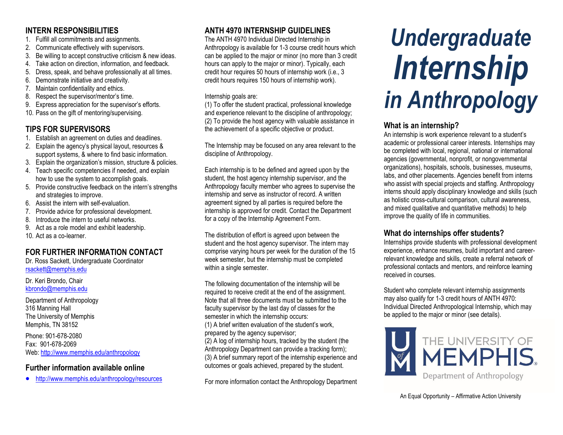## **INTERN RESPONSIBILITIES**

- 1. Fulfill all commitments and assignments.
- 2. Communicate effectively with supervisors.
- 3. Be willing to accept constructive criticism & new ideas.
- 4. Take action on direction, information, and feedback.
- 5. Dress, speak, and behave professionally at all times.
- 6. Demonstrate initiative and creativity.
- 7. Maintain confidentiality and ethics.
- 8. Respect the supervisor/mentor's time.
- 9. Express appreciation for the supervisor's efforts.
- 10. Pass on the gift of mentoring/supervising.

# **TIPS FOR SUPERVISORS**

- 1. Establish an agreement on duties and deadlines.
- 2. Explain the agency's physical layout, resources & support systems, & where to find basic information.
- 3. Explain the organization's mission, structure & policies.
- 4. Teach specific competencies if needed, and explain how to use the system to accomplish goals.
- 5. Provide constructive feedback on the intern's strengths and strategies to improve.
- 6. Assist the intern with self-evaluation.
- 7. Provide advice for professional development.
- 8. Introduce the intern to useful networks.
- 9. Act as a role model and exhibit leadership.
- 10. Act as a co-learner.

# **FOR FURTHER INFORMATION CONTACT**

Dr. Ross Sackett, Undergraduate Coordinator [rsackett@memphis.edu](mailto:rsackett@memphis.edu)

Dr. Keri Brondo, Chair kbrondo@memphis.edu

Department of Anthropology 316 Manning Hall The University of Memphis Memphis, TN 38152

Phone: 901-678-2080 Fax: 901-678-2069 Web: <http://www.memphis.edu/anthropology>

## **Further information available online**

http://www.memphis.edu/anthropology/resources

# **ANTH 4970 INTERNSHIP GUIDELINES**

The ANTH 4970 Individual Directed Internship in Anthropology is available for 1-3 course credit hours which can be applied to the major or minor (no more than 3 credit hours can apply to the major or minor). Typically, each credit hour requires 50 hours of internship work (i.e., 3 credit hours requires 150 hours of internship work).

#### Internship goals are:

(1) To offer the student practical, professional knowledge and experience relevant to the discipline of anthropology; (2) To provide the host agency with valuable assistance in the achievement of a specific objective or product.

The Internship may be focused on any area relevant to the discipline of Anthropology.

Each internship is to be defined and agreed upon by the student, the host agency internship supervisor, and the Anthropology faculty member who agrees to supervise the internship and serve as instructor of record. A written agreement signed by all parties is required before the internship is approved for credit. Contact the Department for a copy of the Internship Agreement Form.

The distribution of effort is agreed upon between the student and the host agency supervisor. The intern may comprise varying hours per week for the duration of the 15 week semester, but the internship must be completed within a single semester.

The following documentation of the internship will be required to receive credit at the end of the assignment. Note that all three documents must be submitted to the faculty supervisor by the last day of classes for the semester in which the internship occurs: (1) A brief written evaluation of the student's work, prepared by the agency supervisor; (2) A log of internship hours, tracked by the student (the Anthropology Department can provide a tracking form); (3) A brief summary report of the internship experience and outcomes or goals achieved, prepared by the student.

For more information contact the Anthropology Department

# *Undergraduate Internship in Anthropology*

# **What is an internship?**

An internship is work experience relevant to a student's academic or professional career interests. Internships may be completed with local, regional, national or international agencies (governmental, nonprofit, or nongovernmental organizations), hospitals, schools, businesses, museums, labs, and other placements. Agencies benefit from interns who assist with special projects and staffing. Anthropology interns should apply disciplinary knowledge and skills (such as holistic cross-cultural comparison, cultural awareness, and mixed qualitative and quantitative methods) to help improve the quality of life in communities.

## **What do internships offer students?**

Internships provide students with professional development experience, enhance resumes, build important and careerrelevant knowledge and skills, create a referral network of professional contacts and mentors, and reinforce learning received in courses.

Student who complete relevant internship assignments may also qualify for 1-3 credit hours of ANTH 4970: Individual Directed Anthropological Internship, which may be applied to the major or minor (see details).